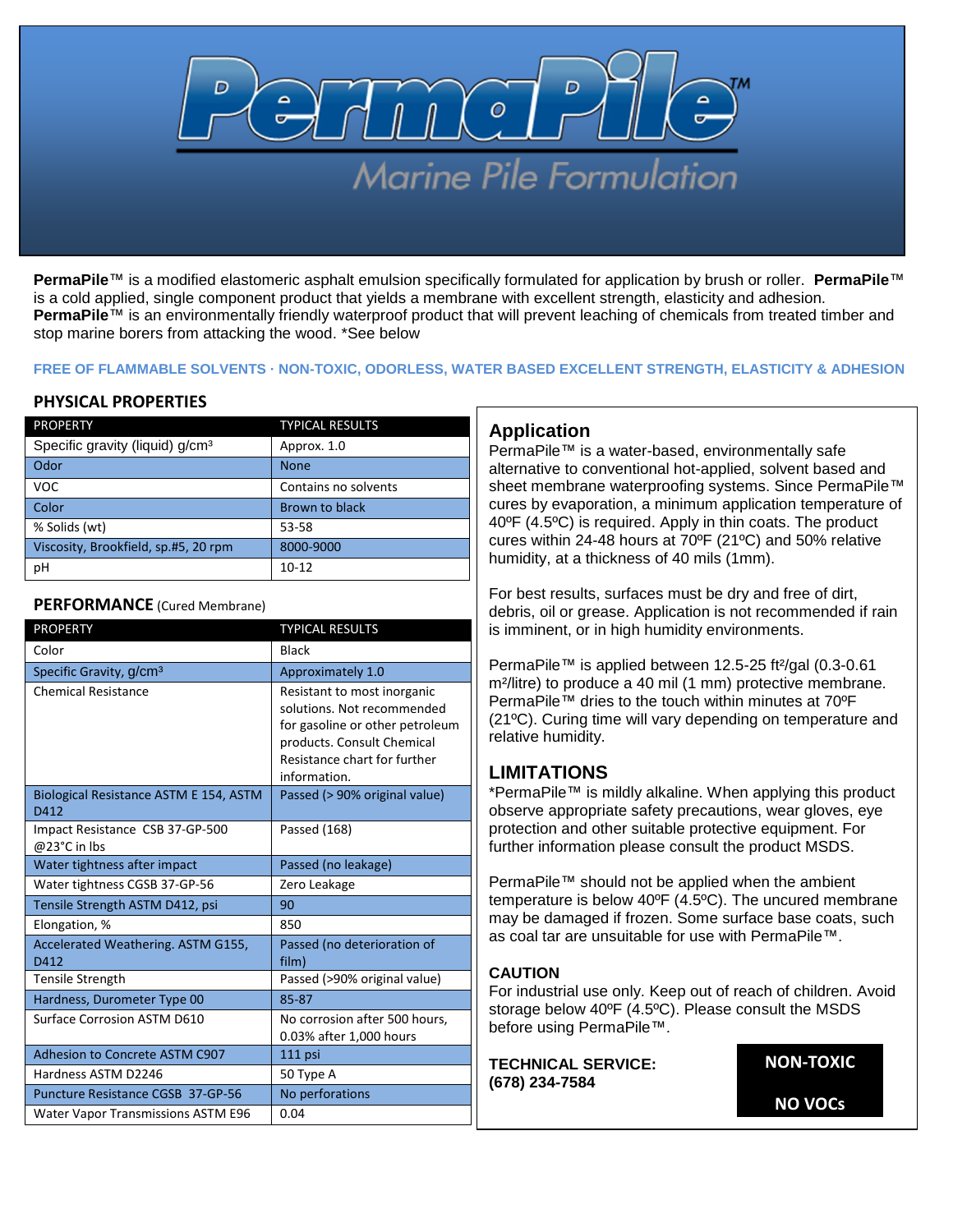

**PermaPile**™ is a modified elastomeric asphalt emulsion specifically formulated for application by brush or roller. **PermaPile**™ is a cold applied, single component product that yields a membrane with excellent strength, elasticity and adhesion. **PermaPile<sup>™</sup>** is an environmentally friendly waterproof product that will prevent leaching of chemicals from treated timber and stop marine borers from attacking the wood. \*See below

#### **FREE OF FLAMMABLE SOLVENTS · NON-TOXIC, ODORLESS, WATER BASED EXCELLENT STRENGTH, ELASTICITY & ADHESION**

# **PHYSICAL PROPERTIES**

| <b>PROPERTY</b>                             | <b>TYPICAL RESULTS</b> |  |
|---------------------------------------------|------------------------|--|
| Specific gravity (liquid) g/cm <sup>3</sup> | Approx. 1.0            |  |
| Odor                                        | <b>None</b>            |  |
| VOC.                                        | Contains no solvents   |  |
| Color                                       | Brown to black         |  |
| % Solids (wt)                               | 53-58                  |  |
| Viscosity, Brookfield, sp.#5, 20 rpm        | 8000-9000              |  |
| рH                                          | $10 - 12$              |  |

#### **PERFORMANCE** (Cured Membrane)

| <b>PROPERTY</b>                                 | <b>TYPICAL RESULTS</b>                                                                                                                                                     |  |  |
|-------------------------------------------------|----------------------------------------------------------------------------------------------------------------------------------------------------------------------------|--|--|
| Color                                           | <b>Black</b>                                                                                                                                                               |  |  |
| Specific Gravity, g/cm <sup>3</sup>             | Approximately 1.0                                                                                                                                                          |  |  |
| <b>Chemical Resistance</b>                      | Resistant to most inorganic<br>solutions. Not recommended<br>for gasoline or other petroleum<br>products. Consult Chemical<br>Resistance chart for further<br>information. |  |  |
| Biological Resistance ASTM E 154, ASTM<br>D412  | Passed (> 90% original value)                                                                                                                                              |  |  |
| Impact Resistance CSB 37-GP-500<br>@23°C in Ibs | Passed (168)                                                                                                                                                               |  |  |
| Water tightness after impact                    | Passed (no leakage)                                                                                                                                                        |  |  |
| Water tightness CGSB 37-GP-56                   | Zero Leakage                                                                                                                                                               |  |  |
| Tensile Strength ASTM D412, psi                 | 90                                                                                                                                                                         |  |  |
| Elongation, %                                   | 850                                                                                                                                                                        |  |  |
| Accelerated Weathering. ASTM G155,<br>D412      | Passed (no deterioration of<br>film)                                                                                                                                       |  |  |
| <b>Tensile Strength</b>                         | Passed (>90% original value)                                                                                                                                               |  |  |
| Hardness, Durometer Type 00                     | 85-87                                                                                                                                                                      |  |  |
| Surface Corrosion ASTM D610                     | No corrosion after 500 hours,<br>0.03% after 1,000 hours                                                                                                                   |  |  |
| Adhesion to Concrete ASTM C907                  | 111 psi                                                                                                                                                                    |  |  |
| Hardness ASTM D2246                             | 50 Type A                                                                                                                                                                  |  |  |
| Puncture Resistance CGSB 37-GP-56               | No perforations                                                                                                                                                            |  |  |
| Water Vapor Transmissions ASTM E96              | 0.04                                                                                                                                                                       |  |  |

# **Application**

PermaPile™ is a water-based, environmentally safe alternative to conventional hot-applied, solvent based and sheet membrane waterproofing systems. Since PermaPile™ cures by evaporation, a minimum application temperature of 40ºF (4.5ºC) is required. Apply in thin coats. The product cures within 24-48 hours at 70ºF (21ºC) and 50% relative humidity, at a thickness of 40 mils (1mm).

For best results, surfaces must be dry and free of dirt, debris, oil or grease. Application is not recommended if rain is imminent, or in high humidity environments.

PermaPile™ is applied between 12.5-25 ft²/gal (0.3-0.61 m²/litre) to produce a 40 mil (1 mm) protective membrane. PermaPile™ dries to the touch within minutes at 70°F (21ºC). Curing time will vary depending on temperature and relative humidity.

# **LIMITATIONS**

\*PermaPile™ is mildly alkaline. When applying this product observe appropriate safety precautions, wear gloves, eye protection and other suitable protective equipment. For further information please consult the product MSDS.

PermaPile™ should not be applied when the ambient temperature is below 40ºF (4.5ºC). The uncured membrane may be damaged if frozen. Some surface base coats, such as coal tar are unsuitable for use with PermaPile™.

# **CAUTION**

For industrial use only. Keep out of reach of children. Avoid storage below 40ºF (4.5ºC). Please consult the MSDS before using PermaPile™.

**TECHNICAL SERVICE: (678) 234-7584**

**NON-TOXIC NO VOCs**